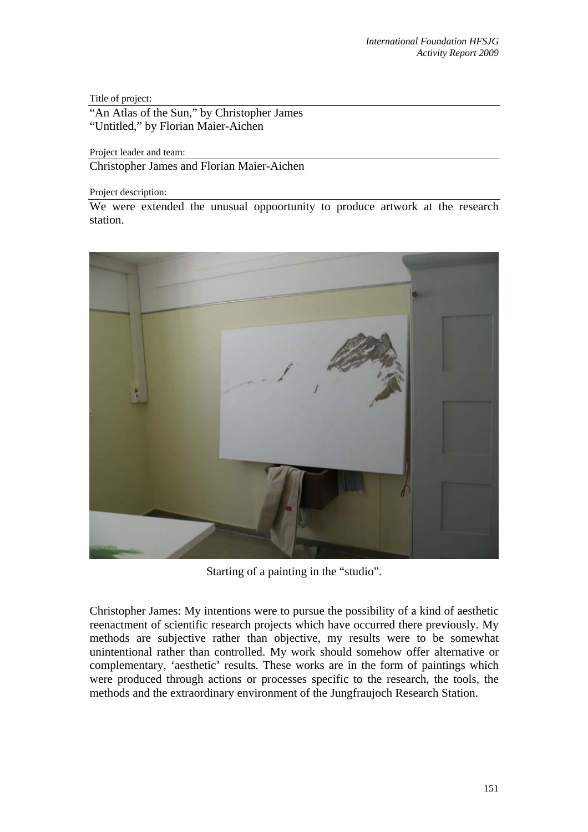Title of project:

"An Atlas of the Sun," by Christopher James" "Untitled," by Florian Maier-Aichen

Project leader and team:

Christopher James and Florian Maier-Aichen

Project description:

We were extended the unusual oppoortunity to produce artwork at the research station.



Starting of a painting in the "studio".

Christopher James: My intentions were to pursue the possibility of a kind of aesthetic reenactment of scientific research projects which have occurred there previously. My methods are subjective rather than objective, my results were to be somewhat unintentional rather than controlled. My work should somehow offer alternative or complementary, 'aesthetic' results. These works are in the form of paintings which were produced through actions or processes specific to the research, the tools, the methods and the extraordinary environment of the Jungfraujoch Research Station.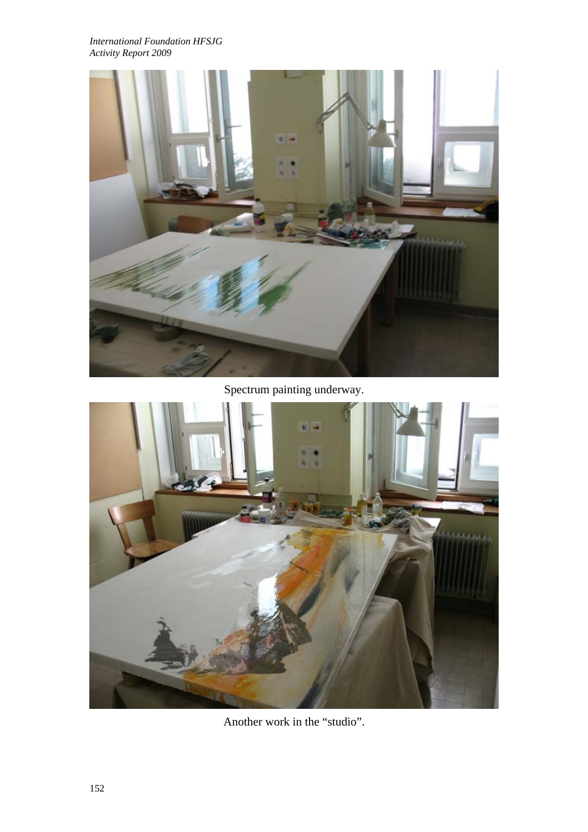*International Foundation HFSJG Activity Report 2009*



Spectrum painting underway.



Another work in the "studio".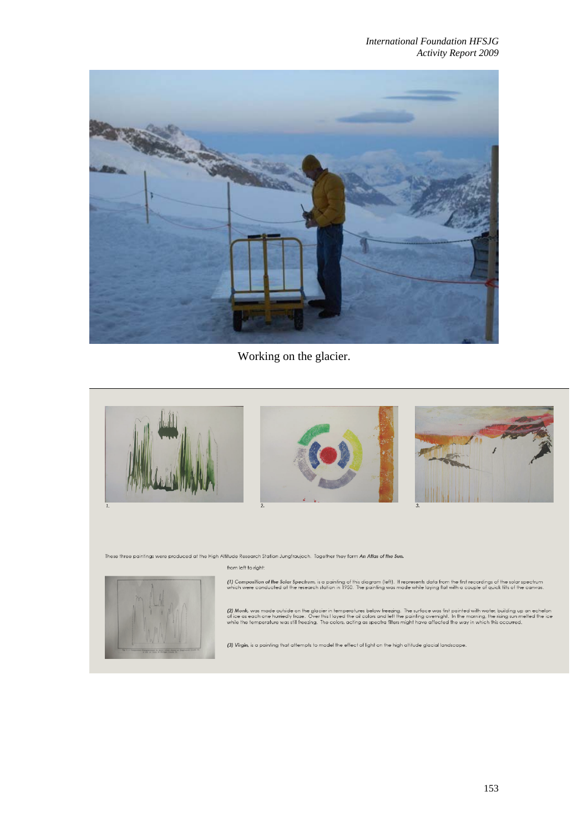*International Foundation HFSJG Activity Report 2009*



Working on the glacier.



These three paintings were produced at the High Altitude Research Station Jungfraujoch. Together they form An Atlas of the Sun.

## from left to right:



(1) Composition of the Solar Spectrum, is a painting of this diagram (left). It represents data from the first recordings of the solar spectrum<br>which were conducted at the research station in 1950. The painting was made wh

(2) Monk, was made outside on the glacier in temperatures below freezing. The surface was first painted with water, building up an echelon<br>of ice as each one hurriedly froze. Over this Hayed the oil colors and left the pai

(3) Virgin, is a painting that attempts to model the effect of light on the high altitude glacial landscape.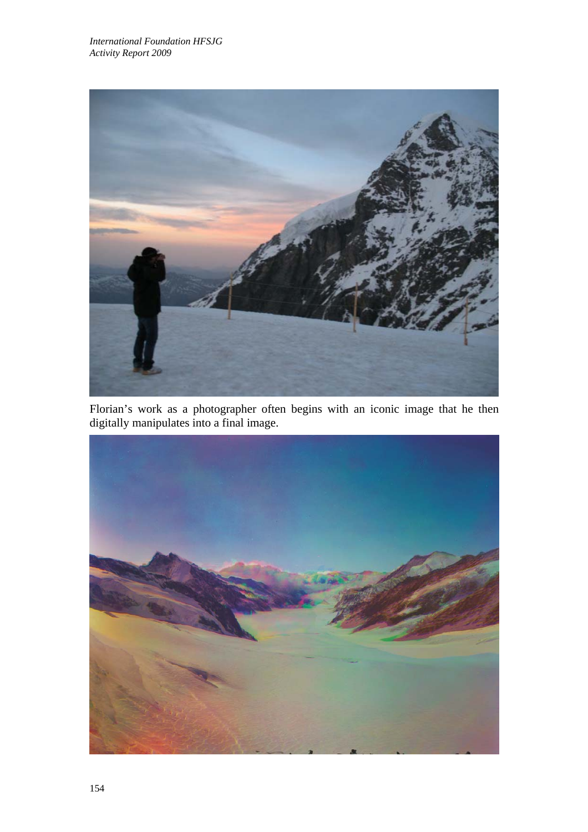

Florian's work as a photographer often begins with an iconic image that he then digitally manipulates into a final image.

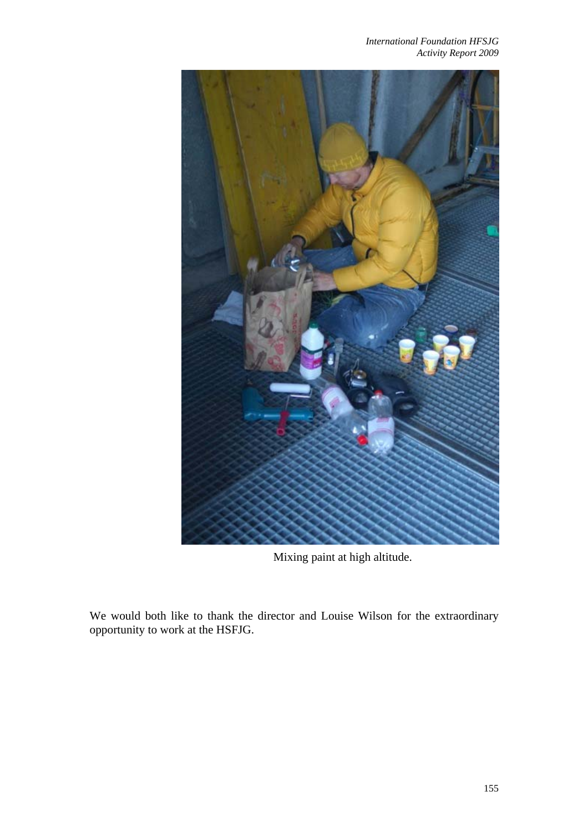*International Foundation HFSJG Activity Report 2009*



Mixing paint at high altitude.

We would both like to thank the director and Louise Wilson for the extraordinary opportunity to work at the HSFJG.